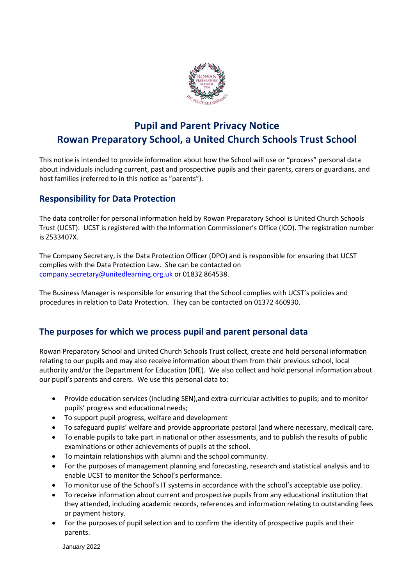

# **Pupil and Parent Privacy Notice Rowan Preparatory School, a United Church Schools Trust School**

This notice is intended to provide information about how the School will use or "process" personal data about individuals including current, past and prospective pupils and their parents, carers or guardians, and host families (referred to in this notice as "parents").

# **Responsibility for Data Protection**

The data controller for personal information held by Rowan Preparatory School is United Church Schools Trust (UCST). UCST is registered with the Information Commissioner's Office (ICO). The registration number is Z533407X.

The Company Secretary, is the Data Protection Officer (DPO) and is responsible for ensuring that UCST complies with the Data Protection Law. She can be contacted on [company.secretary@unitedlearning.org.uk](mailto:company.secretary@unitedlearning.org.uk) or 01832 864538.

The Business Manager is responsible for ensuring that the School complies with UCST's policies and procedures in relation to Data Protection. They can be contacted on 01372 460930.

# **The purposes for which we process pupil and parent personal data**

Rowan Preparatory School and United Church Schools Trust collect, create and hold personal information relating to our pupils and may also receive information about them from their previous school, local authority and/or the Department for Education (DfE). We also collect and hold personal information about our pupil's parents and carers. We use this personal data to:

- Provide education services (including SEN),and extra-curricular activities to pupils; and to monitor pupils' progress and educational needs;
- To support pupil progress, welfare and development
- To safeguard pupils' welfare and provide appropriate pastoral (and where necessary, medical) care.
- To enable pupils to take part in national or other assessments, and to publish the results of public examinations or other achievements of pupils at the school.
- To maintain relationships with alumni and the school community.
- For the purposes of management planning and forecasting, research and statistical analysis and to enable UCST to monitor the School's performance.
- To monitor use of the School's IT systems in accordance with the school's acceptable use policy.
- To receive information about current and prospective pupils from any educational institution that they attended, including academic records, references and information relating to outstanding fees or payment history.
- For the purposes of pupil selection and to confirm the identity of prospective pupils and their parents.

January 2022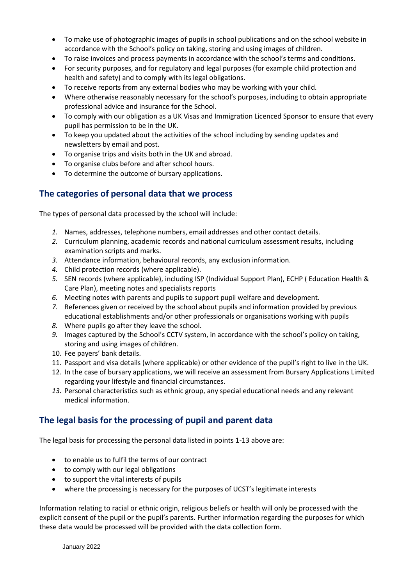- To make use of photographic images of pupils in school publications and on the school website in accordance with the School's policy on taking, storing and using images of children.
- To raise invoices and process payments in accordance with the school's terms and conditions.
- For security purposes, and for regulatory and legal purposes (for example child protection and health and safety) and to comply with its legal obligations.
- To receive reports from any external bodies who may be working with your child.
- Where otherwise reasonably necessary for the school's purposes, including to obtain appropriate professional advice and insurance for the School.
- To comply with our obligation as a UK Visas and Immigration Licenced Sponsor to ensure that every pupil has permission to be in the UK.
- To keep you updated about the activities of the school including by sending updates and newsletters by email and post.
- To organise trips and visits both in the UK and abroad.
- To organise clubs before and after school hours.
- To determine the outcome of bursary applications.

# **The categories of personal data that we process**

The types of personal data processed by the school will include:

- *1.* Names, addresses, telephone numbers, email addresses and other contact details.
- *2.* Curriculum planning, academic records and national curriculum assessment results, including examination scripts and marks.
- *3.* Attendance information, behavioural records, any exclusion information.
- *4.* Child protection records (where applicable).
- *5.* SEN records (where applicable), including ISP (Individual Support Plan), ECHP ( Education Health & Care Plan), meeting notes and specialists reports
- *6.* Meeting notes with parents and pupils to support pupil welfare and development.
- *7.* References given or received by the school about pupils and information provided by previous educational establishments and/or other professionals or organisations working with pupils
- *8.* Where pupils go after they leave the school.
- *9.* Images captured by the School's CCTV system, in accordance with the school's policy on taking, storing and using images of children.
- 10. Fee payers' bank details.
- 11. Passport and visa details (where applicable) or other evidence of the pupil's right to live in the UK.
- 12. In the case of bursary applications, we will receive an assessment from Bursary Applications Limited regarding your lifestyle and financial circumstances.
- *13.* Personal characteristics such as ethnic group, any special educational needs and any relevant medical information.

# **The legal basis for the processing of pupil and parent data**

The legal basis for processing the personal data listed in points 1-13 above are:

- to enable us to fulfil the terms of our contract
- to comply with our legal obligations
- to support the vital interests of pupils
- where the processing is necessary for the purposes of UCST's legitimate interests

Information relating to racial or ethnic origin, religious beliefs or health will only be processed with the explicit consent of the pupil or the pupil's parents. Further information regarding the purposes for which these data would be processed will be provided with the data collection form.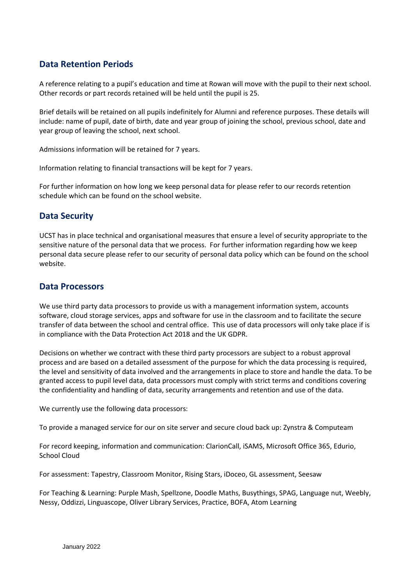# **Data Retention Periods**

A reference relating to a pupil's education and time at Rowan will move with the pupil to their next school. Other records or part records retained will be held until the pupil is 25.

Brief details will be retained on all pupils indefinitely for Alumni and reference purposes. These details will include: name of pupil, date of birth, date and year group of joining the school, previous school, date and year group of leaving the school, next school.

Admissions information will be retained for 7 years.

Information relating to financial transactions will be kept for 7 years.

For further information on how long we keep personal data for please refer to our records retention schedule which can be found on the school website.

# **Data Security**

UCST has in place technical and organisational measures that ensure a level of security appropriate to the sensitive nature of the personal data that we process. For further information regarding how we keep personal data secure please refer to our security of personal data policy which can be found on the school website.

### **Data Processors**

We use third party data processors to provide us with a management information system, accounts software, cloud storage services, apps and software for use in the classroom and to facilitate the secure transfer of data between the school and central office. This use of data processors will only take place if is in compliance with the Data Protection Act 2018 and the UK GDPR.

Decisions on whether we contract with these third party processors are subject to a robust approval process and are based on a detailed assessment of the purpose for which the data processing is required, the level and sensitivity of data involved and the arrangements in place to store and handle the data. To be granted access to pupil level data, data processors must comply with strict terms and conditions covering the confidentiality and handling of data, security arrangements and retention and use of the data.

We currently use the following data processors:

To provide a managed service for our on site server and secure cloud back up: Zynstra & Computeam

For record keeping, information and communication: ClarionCall, iSAMS, Microsoft Office 365, Edurio, School Cloud

For assessment: Tapestry, Classroom Monitor, Rising Stars, iDoceo, GL assessment, Seesaw

For Teaching & Learning: Purple Mash, Spellzone, Doodle Maths, Busythings, SPAG, Language nut, Weebly, Nessy, Oddizzi, Linguascope, Oliver Library Services, Practice, BOFA, Atom Learning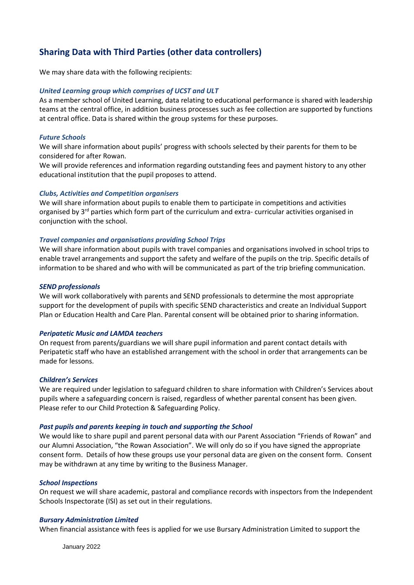# **Sharing Data with Third Parties (other data controllers)**

We may share data with the following recipients:

### *United Learning group which comprises of UCST and ULT*

As a member school of United Learning, data relating to educational performance is shared with leadership teams at the central office, in addition business processes such as fee collection are supported by functions at central office. Data is shared within the group systems for these purposes.

#### *Future Schools*

We will share information about pupils' progress with schools selected by their parents for them to be considered for after Rowan.

We will provide references and information regarding outstanding fees and payment history to any other educational institution that the pupil proposes to attend.

#### *Clubs, Activities and Competition organisers*

We will share information about pupils to enable them to participate in competitions and activities organised by 3<sup>rd</sup> parties which form part of the curriculum and extra- curricular activities organised in conjunction with the school.

#### *Travel companies and organisations providing School Trips*

We will share information about pupils with travel companies and organisations involved in school trips to enable travel arrangements and support the safety and welfare of the pupils on the trip. Specific details of information to be shared and who with will be communicated as part of the trip briefing communication.

#### *SEND professionals*

We will work collaboratively with parents and SEND professionals to determine the most appropriate support for the development of pupils with specific SEND characteristics and create an Individual Support Plan or Education Health and Care Plan. Parental consent will be obtained prior to sharing information.

#### *Peripatetic Music and LAMDA teachers*

On request from parents/guardians we will share pupil information and parent contact details with Peripatetic staff who have an established arrangement with the school in order that arrangements can be made for lessons.

#### *Children's Services*

We are required under legislation to safeguard children to share information with Children's Services about pupils where a safeguarding concern is raised, regardless of whether parental consent has been given. Please refer to our Child Protection & Safeguarding Policy.

#### *Past pupils and parents keeping in touch and supporting the School*

We would like to share pupil and parent personal data with our Parent Association "Friends of Rowan" and our Alumni Association, "the Rowan Association". We will only do so if you have signed the appropriate consent form. Details of how these groups use your personal data are given on the consent form. Consent may be withdrawn at any time by writing to the Business Manager.

### *School Inspections*

On request we will share academic, pastoral and compliance records with inspectors from the Independent Schools Inspectorate (ISI) as set out in their regulations.

#### *Bursary Administration Limited*

When financial assistance with fees is applied for we use Bursary Administration Limited to support the

January 2022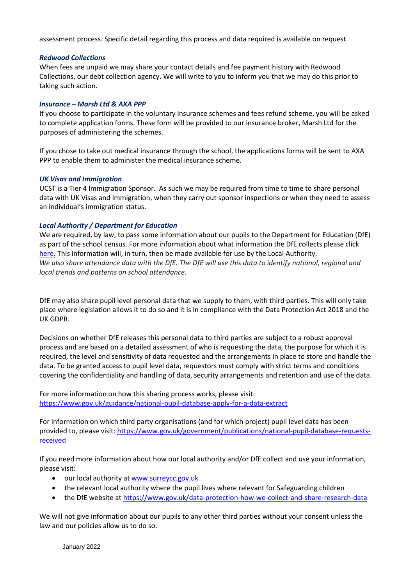assessment process. Specific detail regarding this process and data required is available on request.

#### *Redwood Collections*

When fees are unpaid we may share your contact details and fee payment history with Redwood Collections, our debt collection agency. We will write to you to inform you that we may do this prior to taking such action.

#### *Insurance – Marsh Ltd & AXA PPP*

If you choose to participate in the voluntary insurance schemes and fees refund scheme, you will be asked to complete application forms. These form will be provided to our insurance broker, Marsh Ltd for the purposes of administering the schemes.

If you chose to take out medical insurance through the school, the applications forms will be sent to AXA PPP to enable them to administer the medical insurance scheme.

#### *UK Visas and Immigration*

UCST is a Tier 4 Immigration Sponsor. As such we may be required from time to time to share personal data with UK Visas and Immigration, when they carry out sponsor inspections or when they need to assess an individual's immigration status.

### *Local Authority / Department for Education*

We are required, by law, to pass some information about our pupils to the Department for Education (DfE) as part of the school census. For more information about what information the DfE collects please click [here.](https://eur03.safelinks.protection.outlook.com/?url=https%3A%2F%2Fwww.gov.uk%2Fguidance%2Fcomplete-the-school-census%2Fdata-items-2021-to-2022&data=04%7C01%7C%7Cb6f2861a07db45c16ce008d9e26739c7%7Ca4d068aa090e4f55a950b1b95cea1c6b%7C0%7C0%7C637789755247322665%7CUnknown%7CTWFpbGZsb3d8eyJWIjoiMC4wLjAwMDAiLCJQIjoiV2luMzIiLCJBTiI6Ik1haWwiLCJXVCI6Mn0%3D%7C3000&sdata=j3%2FuEOg0ajEBZmuwRwAx7NEW37Xnz0XVb9tiLhY3njI%3D&reserved=0) This information will, in turn, then be made available for use by the Local Authority. *We also share attendance data with the DfE. The DfE will use this data to identify national, regional and local trends and patterns on school attendance.*

DfE may also share pupil level personal data that we supply to them, with third parties. This will only take place where legislation allows it to do so and it is in compliance with the Data Protection Act 2018 and the UK GDPR.

Decisions on whether DfE releases this personal data to third parties are subject to a robust approval process and are based on a detailed assessment of who is requesting the data, the purpose for which it is required, the level and sensitivity of data requested and the arrangements in place to store and handle the data. To be granted access to pupil level data, requestors must comply with strict terms and conditions covering the confidentiality and handling of data, security arrangements and retention and use of the data.

For more information on how this sharing process works, please visit: <https://www.gov.uk/guidance/national-pupil-database-apply-for-a-data-extract>

For information on which third party organisations (and for which project) pupil level data has been provided to, please visit[: https://www.gov.uk/government/publications/national-pupil-database-requests](https://www.gov.uk/government/publications/national-pupil-database-requests-received)[received](https://www.gov.uk/government/publications/national-pupil-database-requests-received)

If you need more information about how our local authority and/or DfE collect and use your information, please visit:

- our local authority at [www.surreycc.gov.uk](http://www.surreycc.gov.uk/)
- the relevant local authority where the pupil lives where relevant for Safeguarding children
- the DfE website at <https://www.gov.uk/data-protection-how-we-collect-and-share-research-data>

We will not give information about our pupils to any other third parties without your consent unless the law and our policies allow us to do so.